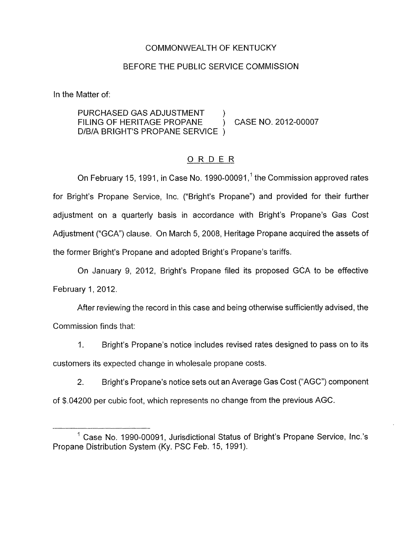#### COMMONWEALTH OF KENTUCKY

#### BEFORE THE PUBLIC SERVICE COMMISSION

In the Matter of:

PURCHASED GAS ADJUSTMENT D/B/A BRIGHT'S PROPANE SERVICE ) FILING OF HERITAGE PROPANE ) CASE NO. 2012-00007

# ORDER

On February 15, 1991, in Case No. 1990-00091,<sup>1</sup> the Commission approved rates for Bright's Propane Service, Inc. ("Bright's Propane") and provided for their further adjustment on a quarterly basis in accordance with Bright's Propane's Gas Cost Adjustment ("GCA") clause. On March 5, 2008, Heritage Propane acquired the assets of the former Bright's Propane and adopted Bright's Propane's tariffs.

On January 9, 2012, Bright's Propane filed its proposed GCA to be effective February 1, 2012.

After reviewing the record in this case and being otherwise sufficiently advised, the Commission finds that:

I. Bright's Propane's notice includes revised rates designed to pass on to its customers its expected change in wholesale propane costs.

2. Bright's Propane's notice sets out an Average Gas Cost ("AGC") component of \$.04200 per cubic foot, which represents no change from the previous AGC.

 $<sup>1</sup>$  Case No. 1990-00091, Jurisdictional Status of Bright's Propane Service, Inc.'s</sup> Propane Distribution System (Ky. PSC Feb. 15, 1991).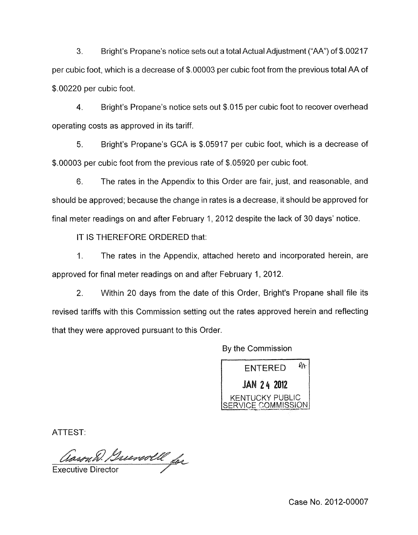**3.** Bright's Propane's notice sets out a total Actual Adjustment ("AA") of \$.00217 per cubic foot, which is a decrease of \$.00003 per cubic foot from the previous total AA of \$.00220 per cubic foot.

4. Bright's Propane's notice sets out \$.015 per cubic foot to recover overhead operating costs as approved in its tariff.

5. Bright's Propane's GCA is \$.05917 per cubic foot, which is a decrease of \$.00003 per cubic foot from the previous rate of \$.05920 per cubic foot.

6. The rates in the Appendix to this Order are fair, just, and reasonable, and should be approved; because the change in rates is a decrease, it should be approved for final meter readings on and after February 1, 2012 despite the lack of 30 days' notice.

IT IS THEREFORE ORDERED that:

1. The rates in the Appendix, attached hereto and incorporated herein, are approved for final meter readings on and after February 1, 2012.

2. Within 20 days from the date of this Order, Bright's Propane shall file its revised tariffs with this Commission setting out the rates approved herein and reflecting that they were approved pursuant to this Order.

By the Commission

ENTERED *\*k 24* **201**  KENTUCKY PUBLIC  $ERVICE COMMISSION$ 

ATTEST:

Aason B. Greenwoll for

Case No. 2012-00007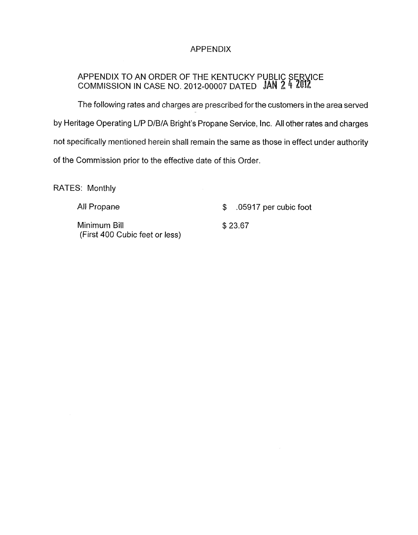# APPENDIX

### APPENDIX TO AN ORDER OF THE KENTUCKY P COMMISSION IN CASE NO. 2012-00007 DATED

The following rates and charges are prescribed for the customers in the area served by Heritage Operating L/P D/B/A Bright's Propane Service, Inc. All other rates and charges not specifically mentioned herein shall remain the same as those in effect under authority of the Commission prior to the effective date of this Order.

RATES: Monthly

| All Propane                                    | $$.05917$ per cubic foot |
|------------------------------------------------|--------------------------|
| Minimum Bill<br>(First 400 Cubic feet or less) | \$23.67                  |